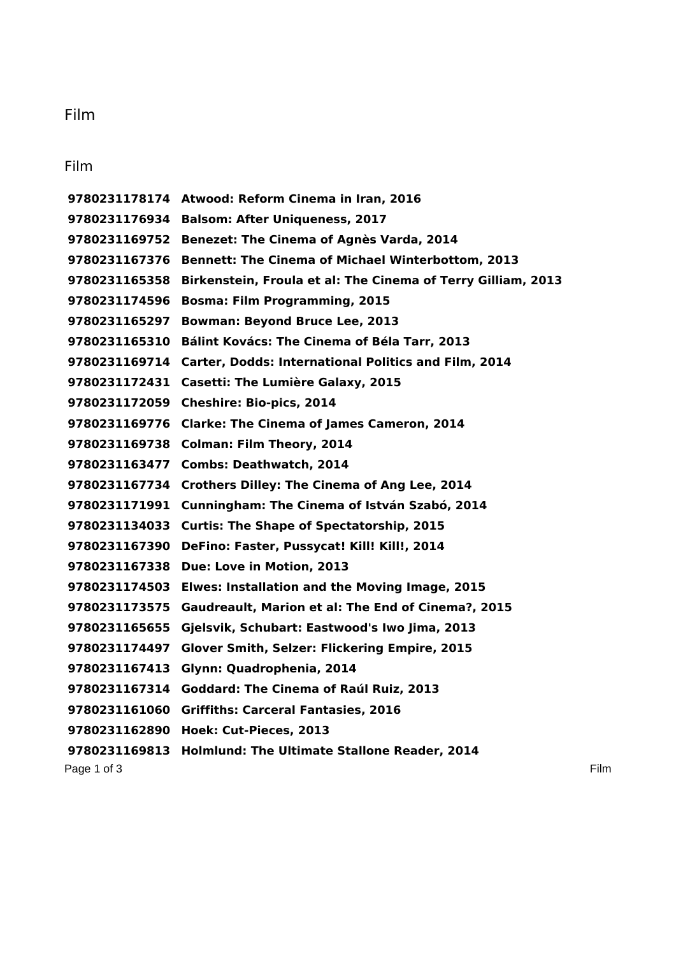## Film

## Film

Page 1 of 3 Film **Atwood: Reform Cinema in Iran, 2016 Balsom: After Uniqueness, 2017 Benezet: The Cinema of Agnès Varda, 2014 Bennett: The Cinema of Michael Winterbottom, 2013 Birkenstein, Froula et al: The Cinema of Terry Gilliam, 2013 Bosma: Film Programming, 2015 Bowman: Beyond Bruce Lee, 2013 Bálint Kovács: The Cinema of Béla Tarr, 2013 Carter, Dodds: International Politics and Film, 2014 Casetti: The Lumière Galaxy, 2015 Cheshire: Bio-pics, 2014 Clarke: The Cinema of James Cameron, 2014 Colman: Film Theory, 2014 Combs: Deathwatch, 2014 Crothers Dilley: The Cinema of Ang Lee, 2014 Cunningham: The Cinema of István Szabó, 2014 Curtis: The Shape of Spectatorship, 2015 DeFino: Faster, Pussycat! Kill! Kill!, 2014 Due: Love in Motion, 2013 Elwes: Installation and the Moving Image, 2015 Gaudreault, Marion et al: The End of Cinema?, 2015 Gjelsvik, Schubart: Eastwood's Iwo Jima, 2013 Glover Smith, Selzer: Flickering Empire, 2015 Glynn: Quadrophenia, 2014 Goddard: The Cinema of Raúl Ruiz, 2013 Griffiths: Carceral Fantasies, 2016 Hoek: Cut-Pieces, 2013 Holmlund: The Ultimate Stallone Reader, 2014**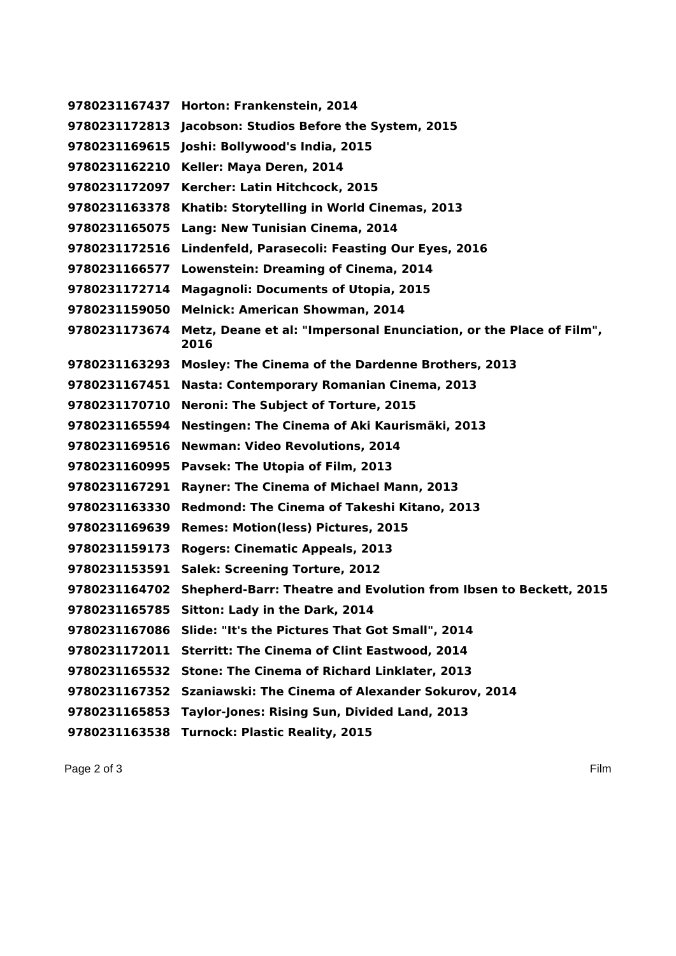**Horton: Frankenstein, 2014 Jacobson: Studios Before the System, 2015 Joshi: Bollywood's India, 2015 Keller: Maya Deren, 2014 Kercher: Latin Hitchcock, 2015 Khatib: Storytelling in World Cinemas, 2013 Lang: New Tunisian Cinema, 2014 Lindenfeld, Parasecoli: Feasting Our Eyes, 2016 Lowenstein: Dreaming of Cinema, 2014 Magagnoli: Documents of Utopia, 2015 Melnick: American Showman, 2014 Metz, Deane et al: "Impersonal Enunciation, or the Place of Film", Mosley: The Cinema of the Dardenne Brothers, 2013 Nasta: Contemporary Romanian Cinema, 2013 Neroni: The Subject of Torture, 2015 Nestingen: The Cinema of Aki Kaurismäki, 2013 Newman: Video Revolutions, 2014 Pavsek: The Utopia of Film, 2013 Rayner: The Cinema of Michael Mann, 2013 Redmond: The Cinema of Takeshi Kitano, 2013 Remes: Motion(less) Pictures, 2015 Rogers: Cinematic Appeals, 2013 Salek: Screening Torture, 2012 Shepherd-Barr: Theatre and Evolution from Ibsen to Beckett, 2015 Sitton: Lady in the Dark, 2014 Slide: "It's the Pictures That Got Small", 2014 Sterritt: The Cinema of Clint Eastwood, 2014 Stone: The Cinema of Richard Linklater, 2013 Szaniawski: The Cinema of Alexander Sokurov, 2014 Taylor-Jones: Rising Sun, Divided Land, 2013 Turnock: Plastic Reality, 2015**

Page 2 of 3 Film